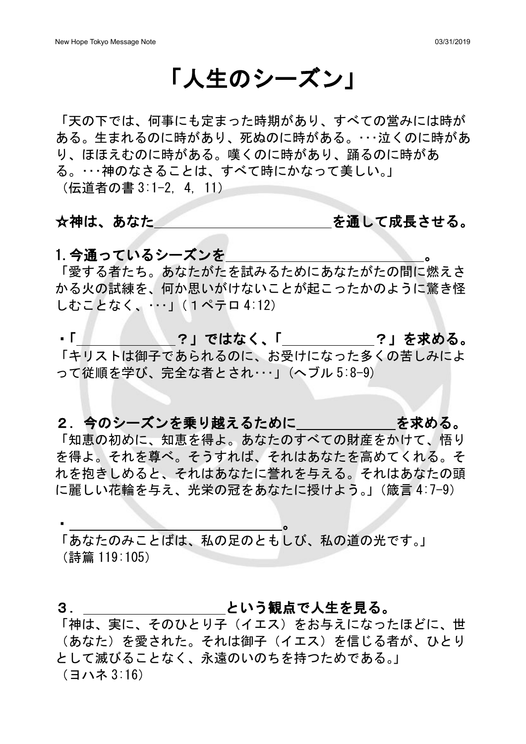# 「人生のシーズン」

「天の下では、何事にも定まった時期があり、すべての営みには時が ある。生まれるのに時があり、死ぬのに時がある。・・・泣くのに時があ り、ほほえむのに時がある。嘆くのに時があり、踊るのに時があ る。・・・神のなさることは、すべて時にかなって美しい。」 (伝道者の書 3:1-2, 4, 11)

☆神は、あなた またない お願い あいして成長させる。

## 1. 今通っているシーズンを

「愛する者たち。あなたがたを試みるためにあなたがたの間に燃えさ かる火の試練を、何か思いがけないことが起こったかのように驚き怪 しむことなく、・・・」(1ペテロ 4:12)

- 「 │ │ │ │ │ │ ? 」ではなく、「 │ │ │ │ │ ? 」を求める。 「キリストは御子であられるのに、お受けになった多くの苦しみによ って従順を学び、完全な者とされ・・・」(へブル 5:8-9)

2. 今のシーズンを乗り越えるために する を求める。

「知恵の初めに、知恵を得よ。あなたのすべての財産をかけて、悟り を得よ。それを尊べ。そうすれば、それはあなたを高めてくれる。そ れを抱きしめると、それはあなたに誉れを与える。それはあなたの頭 に麗しい花輪を与え、光栄の冠をあなたに授けよう。」(箴言 4:7-9)

「あなたのみことばは、私の足のともしび、私の道の光です。」 (詩篇 119:105)

### 3. \_\_\_\_\_\_\_\_\_\_\_\_\_\_\_\_\_\_\_\_\_\_という観点で人生を見る。

 $\bullet$  . The contract of the contract of the contract of the contract of the contract of the contract of the contract of the contract of the contract of the contract of the contract of the contract of the contract of the co

「神は、実に、そのひとり子(イエス)をお与えになったほどに、世 (あなた)を愛された。それは御子(イエス)を信じる者が、ひとり として滅びることなく、永遠のいのちを持つためである。」 (ヨハネ 3:16)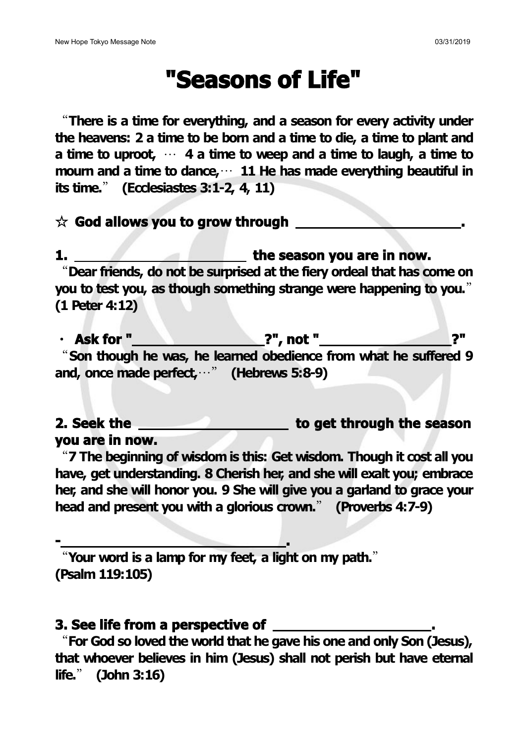# **"Seasons of Life"**

"**There is a time for everything, and a season for every activity under the heavens: 2 a time to be born and a time to die, a time to plant and a time to uproot,** … **4 a time to weep and a time to laugh, a time to mourn and a time to dance,**… **11 He has made everything beautiful in its time.**" **(Ecclesiastes 3:1-2, 4, 11)**

#### ☆ **God allows you to grow through .**

**1. the season you are in now.** "**Dear friends, do not be surprised at the fiery ordeal that has come on you to test you, as though something strange were happening to you.**" **(1 Peter 4:12)**

・ **Ask for " ?", not " ?"** "**Son though he was, he learned obedience from what he suffered 9 and, once made perfect,**…" **(Hebrews 5:8-9)**

**2. Seek the to get through the season you are in now.**

"**7 The beginning of wisdom is this: Get wisdom. Though it cost all you have, get understanding. 8 Cherish her, and she will exalt you; embrace her, and she will honor you. 9 She will give you agarland to grace your head and present you with aglorious crown.**" **(Proverbs 4:7-9)**

"**Your word is a lamp for my feet, a light on my path.**" **(Psalm 119:105)**

**- .**

### **3. See life from a perspective of .**

"**For God so loved the world that he gave hisone and only Son (Jesus), that whoever believes in him (Jesus) shall not perish but have eternal life.**" **(John 3:16)**